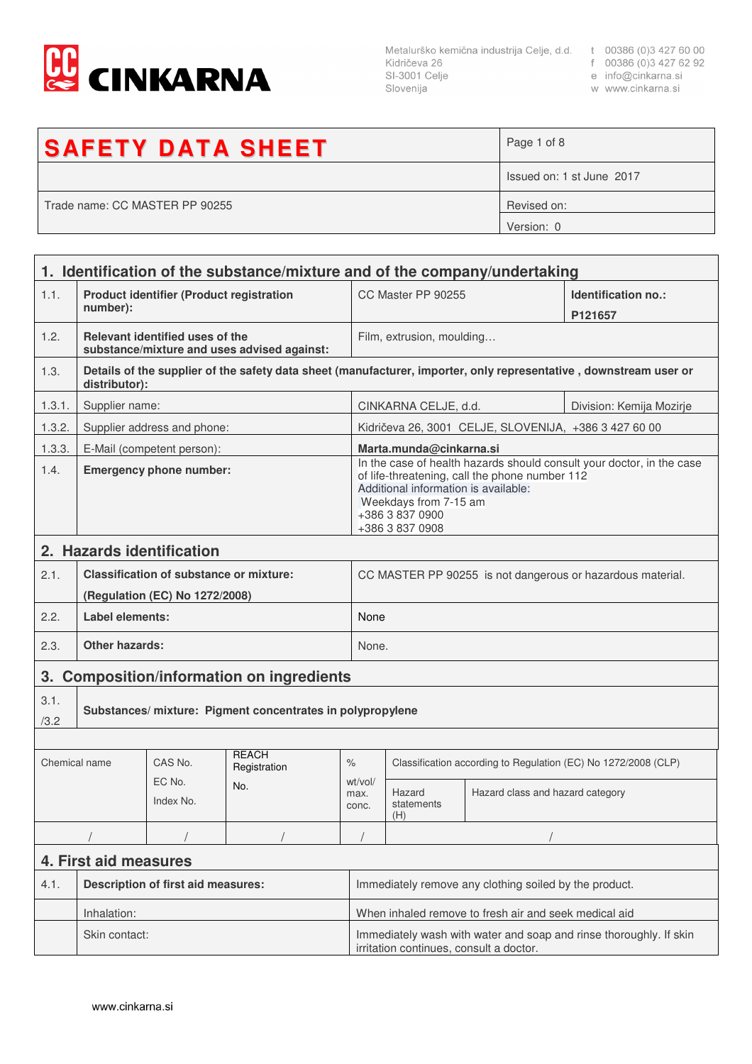

Metalurško kemična industrija Celje, d.d. t 00386 (0)3 427 60 00<br>Kidričeva 26 f 00386 (0)3 427 62 92<br>SI-3001 Celje e info@cinkarna.si Slovenija

- 
- 
- w www.cinkarna.si

| <b>SAFETY DATA SHEET</b>       | Page 1 of 8               |
|--------------------------------|---------------------------|
|                                | Issued on: 1 st June 2017 |
| Trade name: CC MASTER PP 90255 | Revised on:               |
|                                | Version: 0                |

| 1. Identification of the substance/mixture and of the company/undertaking |                                                             |                                                |                                             |                                                                                                                                                                                                                                |                                                                |                                                       |                                                                                                                   |
|---------------------------------------------------------------------------|-------------------------------------------------------------|------------------------------------------------|---------------------------------------------|--------------------------------------------------------------------------------------------------------------------------------------------------------------------------------------------------------------------------------|----------------------------------------------------------------|-------------------------------------------------------|-------------------------------------------------------------------------------------------------------------------|
| 1.1.                                                                      | <b>Product identifier (Product registration</b><br>number): |                                                |                                             | CC Master PP 90255                                                                                                                                                                                                             |                                                                | Identification no.:<br>P121657                        |                                                                                                                   |
| 1.2.                                                                      |                                                             | Relevant identified uses of the                | substance/mixture and uses advised against: |                                                                                                                                                                                                                                | Film, extrusion, moulding                                      |                                                       |                                                                                                                   |
| 1.3.                                                                      | distributor):                                               |                                                |                                             |                                                                                                                                                                                                                                |                                                                |                                                       | Details of the supplier of the safety data sheet (manufacturer, importer, only representative, downstream user or |
| 1.3.1.                                                                    | Supplier name:                                              |                                                |                                             |                                                                                                                                                                                                                                | CINKARNA CELJE, d.d.<br>Division: Kemija Mozirje               |                                                       |                                                                                                                   |
| 1.3.2.                                                                    |                                                             | Supplier address and phone:                    |                                             |                                                                                                                                                                                                                                |                                                                | Kidričeva 26, 3001 CELJE, SLOVENIJA, +386 3 427 60 00 |                                                                                                                   |
| 1.3.3.                                                                    |                                                             | E-Mail (competent person):                     |                                             |                                                                                                                                                                                                                                | Marta.munda@cinkarna.si                                        |                                                       |                                                                                                                   |
| 1.4.                                                                      | <b>Emergency phone number:</b>                              |                                                |                                             | In the case of health hazards should consult your doctor, in the case<br>of life-threatening, call the phone number 112<br>Additional information is available:<br>Weekdays from 7-15 am<br>+386 3 837 0900<br>+386 3 837 0908 |                                                                |                                                       |                                                                                                                   |
|                                                                           |                                                             | 2. Hazards identification                      |                                             |                                                                                                                                                                                                                                |                                                                |                                                       |                                                                                                                   |
| 2.1.                                                                      |                                                             | <b>Classification of substance or mixture:</b> |                                             |                                                                                                                                                                                                                                | CC MASTER PP 90255 is not dangerous or hazardous material.     |                                                       |                                                                                                                   |
|                                                                           |                                                             | (Regulation (EC) No 1272/2008)                 |                                             |                                                                                                                                                                                                                                |                                                                |                                                       |                                                                                                                   |
| 2.2.                                                                      | Label elements:                                             |                                                |                                             |                                                                                                                                                                                                                                | None                                                           |                                                       |                                                                                                                   |
| 2.3.                                                                      | <b>Other hazards:</b>                                       |                                                |                                             |                                                                                                                                                                                                                                | None.                                                          |                                                       |                                                                                                                   |
|                                                                           |                                                             |                                                | 3. Composition/information on ingredients   |                                                                                                                                                                                                                                |                                                                |                                                       |                                                                                                                   |
| 3.1.<br>/3.2                                                              | Substances/ mixture: Pigment concentrates in polypropylene  |                                                |                                             |                                                                                                                                                                                                                                |                                                                |                                                       |                                                                                                                   |
|                                                                           |                                                             |                                                |                                             |                                                                                                                                                                                                                                |                                                                |                                                       |                                                                                                                   |
| Chemical name                                                             |                                                             | CAS No.                                        | <b>REACH</b><br>Registration                | $\%$                                                                                                                                                                                                                           | Classification according to Regulation (EC) No 1272/2008 (CLP) |                                                       |                                                                                                                   |
|                                                                           |                                                             | EC No.<br>Index No.                            | No.                                         | wt/vol/<br>max.<br>conc.                                                                                                                                                                                                       | Hazard<br>statements<br>(H)                                    | Hazard class and hazard category                      |                                                                                                                   |
|                                                                           |                                                             |                                                |                                             |                                                                                                                                                                                                                                |                                                                |                                                       |                                                                                                                   |
|                                                                           | 4. First aid measures                                       |                                                |                                             |                                                                                                                                                                                                                                |                                                                |                                                       |                                                                                                                   |
| 4.1.                                                                      | <b>Description of first aid measures:</b>                   |                                                |                                             | Immediately remove any clothing soiled by the product.                                                                                                                                                                         |                                                                |                                                       |                                                                                                                   |
|                                                                           | Inhalation:                                                 |                                                |                                             |                                                                                                                                                                                                                                | When inhaled remove to fresh air and seek medical aid          |                                                       |                                                                                                                   |
|                                                                           | Skin contact:                                               |                                                |                                             | Immediately wash with water and soap and rinse thoroughly. If skin<br>irritation continues, consult a doctor.                                                                                                                  |                                                                |                                                       |                                                                                                                   |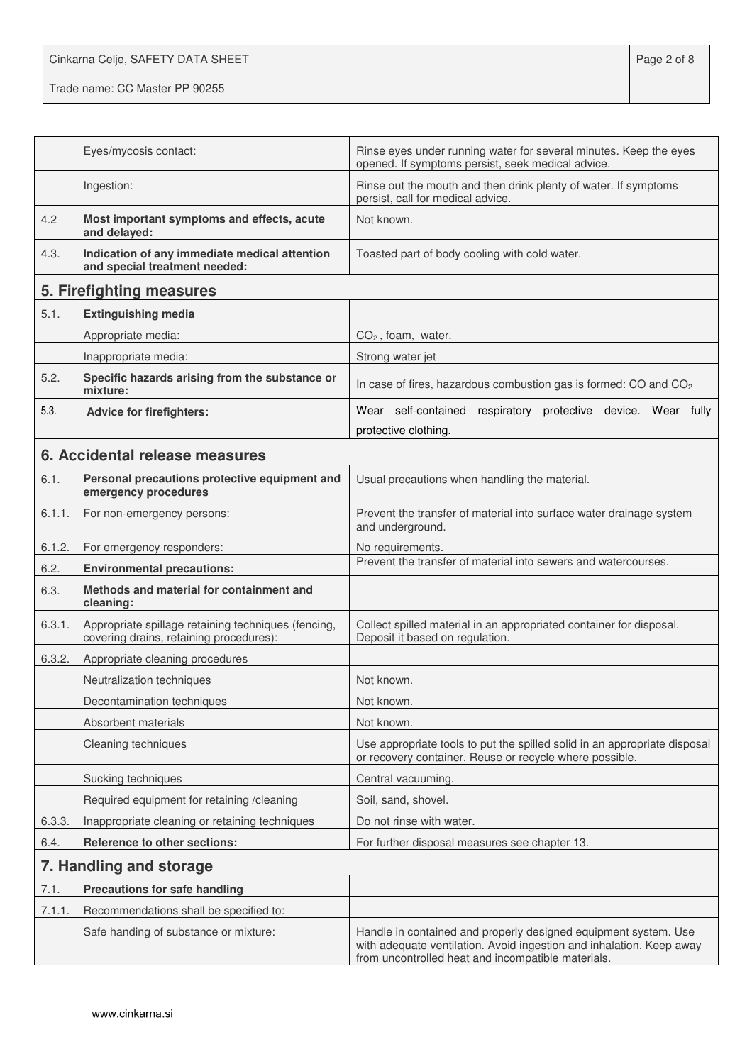Cinkarna Celje, SAFETY DATA SHEET **Page 2 of 8** 

Trade name: CC Master PP 90255

|        | Eyes/mycosis contact:                                                                          | Rinse eyes under running water for several minutes. Keep the eyes<br>opened. If symptoms persist, seek medical advice.                                                                        |
|--------|------------------------------------------------------------------------------------------------|-----------------------------------------------------------------------------------------------------------------------------------------------------------------------------------------------|
|        | Ingestion:                                                                                     | Rinse out the mouth and then drink plenty of water. If symptoms<br>persist, call for medical advice.                                                                                          |
| 4.2    | Most important symptoms and effects, acute<br>and delayed:                                     | Not known.                                                                                                                                                                                    |
| 4.3.   | Indication of any immediate medical attention<br>and special treatment needed:                 | Toasted part of body cooling with cold water.                                                                                                                                                 |
|        | 5. Firefighting measures                                                                       |                                                                                                                                                                                               |
| 5.1.   | <b>Extinguishing media</b>                                                                     |                                                                                                                                                                                               |
|        | Appropriate media:                                                                             | $CO2$ , foam, water.                                                                                                                                                                          |
|        | Inappropriate media:                                                                           | Strong water jet                                                                                                                                                                              |
| 5.2.   | Specific hazards arising from the substance or<br>mixture:                                     | In case of fires, hazardous combustion gas is formed: CO and CO <sub>2</sub>                                                                                                                  |
| 5.3.   | <b>Advice for firefighters:</b>                                                                | Wear self-contained respiratory protective device. Wear fully                                                                                                                                 |
|        |                                                                                                | protective clothing.                                                                                                                                                                          |
|        | 6. Accidental release measures                                                                 |                                                                                                                                                                                               |
| 6.1.   | Personal precautions protective equipment and<br>emergency procedures                          | Usual precautions when handling the material.                                                                                                                                                 |
| 6.1.1. | For non-emergency persons:                                                                     | Prevent the transfer of material into surface water drainage system<br>and underground.                                                                                                       |
| 6.1.2. | For emergency responders:                                                                      | No requirements.                                                                                                                                                                              |
| 6.2.   | <b>Environmental precautions:</b>                                                              | Prevent the transfer of material into sewers and watercourses.                                                                                                                                |
| 6.3.   | Methods and material for containment and<br>cleaning:                                          |                                                                                                                                                                                               |
| 6.3.1. | Appropriate spillage retaining techniques (fencing,<br>covering drains, retaining procedures): | Collect spilled material in an appropriated container for disposal.<br>Deposit it based on regulation.                                                                                        |
| 6.3.2. | Appropriate cleaning procedures                                                                |                                                                                                                                                                                               |
|        | Neutralization techniques                                                                      | Not known.                                                                                                                                                                                    |
|        | Decontamination techniques                                                                     | Not known.                                                                                                                                                                                    |
|        | Absorbent materials                                                                            | Not known.                                                                                                                                                                                    |
|        | Cleaning techniques                                                                            | Use appropriate tools to put the spilled solid in an appropriate disposal<br>or recovery container. Reuse or recycle where possible.                                                          |
|        | Sucking techniques                                                                             | Central vacuuming.                                                                                                                                                                            |
|        | Required equipment for retaining /cleaning                                                     | Soil, sand, shovel.                                                                                                                                                                           |
| 6.3.3. | Inappropriate cleaning or retaining techniques                                                 | Do not rinse with water.                                                                                                                                                                      |
| 6.4.   | <b>Reference to other sections:</b>                                                            | For further disposal measures see chapter 13.                                                                                                                                                 |
|        | 7. Handling and storage                                                                        |                                                                                                                                                                                               |
| 7.1.   | <b>Precautions for safe handling</b>                                                           |                                                                                                                                                                                               |
| 7.1.1. | Recommendations shall be specified to:                                                         |                                                                                                                                                                                               |
|        | Safe handing of substance or mixture:                                                          | Handle in contained and properly designed equipment system. Use<br>with adequate ventilation. Avoid ingestion and inhalation. Keep away<br>from uncontrolled heat and incompatible materials. |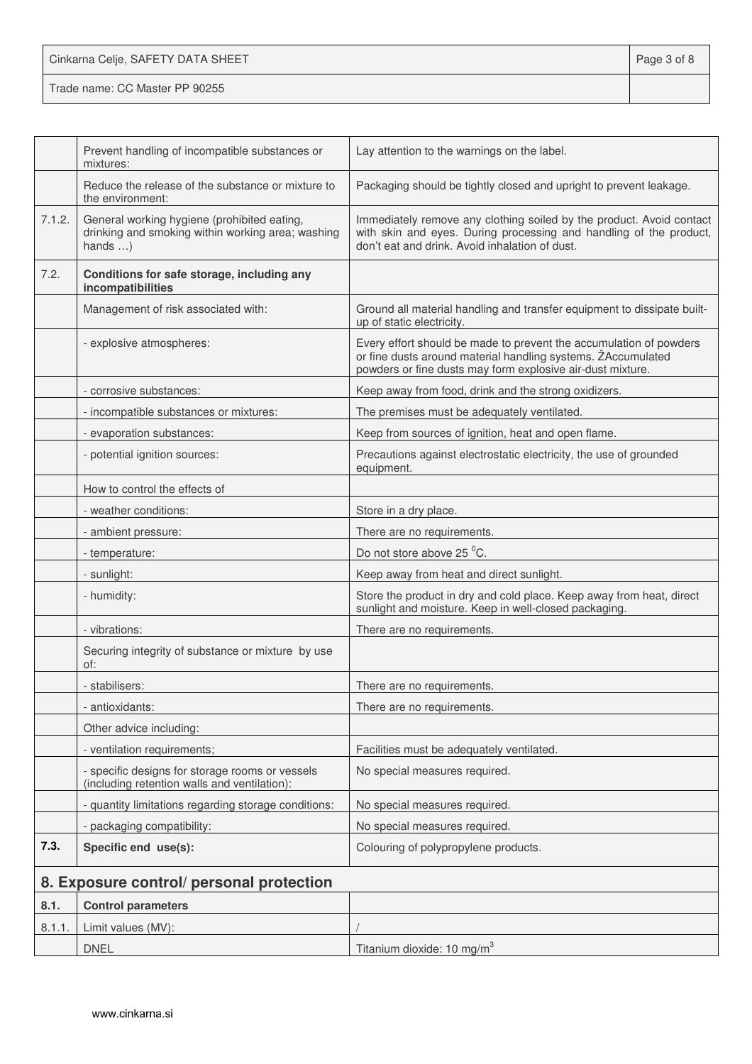| Cinkarna Celje, SAFETY DATA SHEET | Page 3 of 8 |
|-----------------------------------|-------------|
| Trade name: CC Master PP 90255    |             |

|        | Prevent handling of incompatible substances or<br>mixtures:                                                          | Lay attention to the warnings on the label.                                                                                                                                                      |
|--------|----------------------------------------------------------------------------------------------------------------------|--------------------------------------------------------------------------------------------------------------------------------------------------------------------------------------------------|
|        | Reduce the release of the substance or mixture to<br>the environment:                                                | Packaging should be tightly closed and upright to prevent leakage.                                                                                                                               |
| 7.1.2. | General working hygiene (prohibited eating,<br>drinking and smoking within working area; washing<br>hands $\ldots$ ) | Immediately remove any clothing soiled by the product. Avoid contact<br>with skin and eyes. During processing and handling of the product,<br>don't eat and drink. Avoid inhalation of dust.     |
| 7.2.   | Conditions for safe storage, including any<br>incompatibilities                                                      |                                                                                                                                                                                                  |
|        | Management of risk associated with:                                                                                  | Ground all material handling and transfer equipment to dissipate built-<br>up of static electricity.                                                                                             |
|        | - explosive atmospheres:                                                                                             | Every effort should be made to prevent the accumulation of powders<br>or fine dusts around material handling systems. ŽAccumulated<br>powders or fine dusts may form explosive air-dust mixture. |
|        | - corrosive substances:                                                                                              | Keep away from food, drink and the strong oxidizers.                                                                                                                                             |
|        | - incompatible substances or mixtures:                                                                               | The premises must be adequately ventilated.                                                                                                                                                      |
|        | - evaporation substances:                                                                                            | Keep from sources of ignition, heat and open flame.                                                                                                                                              |
|        | - potential ignition sources:                                                                                        | Precautions against electrostatic electricity, the use of grounded<br>equipment.                                                                                                                 |
|        | How to control the effects of                                                                                        |                                                                                                                                                                                                  |
|        | - weather conditions:                                                                                                | Store in a dry place.                                                                                                                                                                            |
|        | - ambient pressure:                                                                                                  | There are no requirements.                                                                                                                                                                       |
|        | - temperature:                                                                                                       | Do not store above 25 °C.                                                                                                                                                                        |
|        | - sunlight:                                                                                                          | Keep away from heat and direct sunlight.                                                                                                                                                         |
|        | - humidity:                                                                                                          | Store the product in dry and cold place. Keep away from heat, direct<br>sunlight and moisture. Keep in well-closed packaging.                                                                    |
|        | - vibrations:                                                                                                        | There are no requirements.                                                                                                                                                                       |
|        | Securing integrity of substance or mixture by use<br>of:                                                             |                                                                                                                                                                                                  |
|        | - stabilisers:                                                                                                       | There are no requirements.                                                                                                                                                                       |
|        | - antioxidants:                                                                                                      | There are no requirements.                                                                                                                                                                       |
|        | Other advice including:                                                                                              |                                                                                                                                                                                                  |
|        | - ventilation requirements;                                                                                          | Facilities must be adequately ventilated.                                                                                                                                                        |
|        | - specific designs for storage rooms or vessels<br>(including retention walls and ventilation):                      | No special measures required.                                                                                                                                                                    |
|        | - quantity limitations regarding storage conditions:                                                                 | No special measures required.                                                                                                                                                                    |
|        | - packaging compatibility:                                                                                           | No special measures required.                                                                                                                                                                    |
| 7.3.   | Specific end use(s):                                                                                                 | Colouring of polypropylene products.                                                                                                                                                             |
|        | 8. Exposure control/ personal protection                                                                             |                                                                                                                                                                                                  |
| 8.1.   | <b>Control parameters</b>                                                                                            |                                                                                                                                                                                                  |
| 8.1.1  | Limit values (MV):                                                                                                   |                                                                                                                                                                                                  |
|        | <b>DNEL</b>                                                                                                          | Titanium dioxide: 10 mg/m <sup>3</sup>                                                                                                                                                           |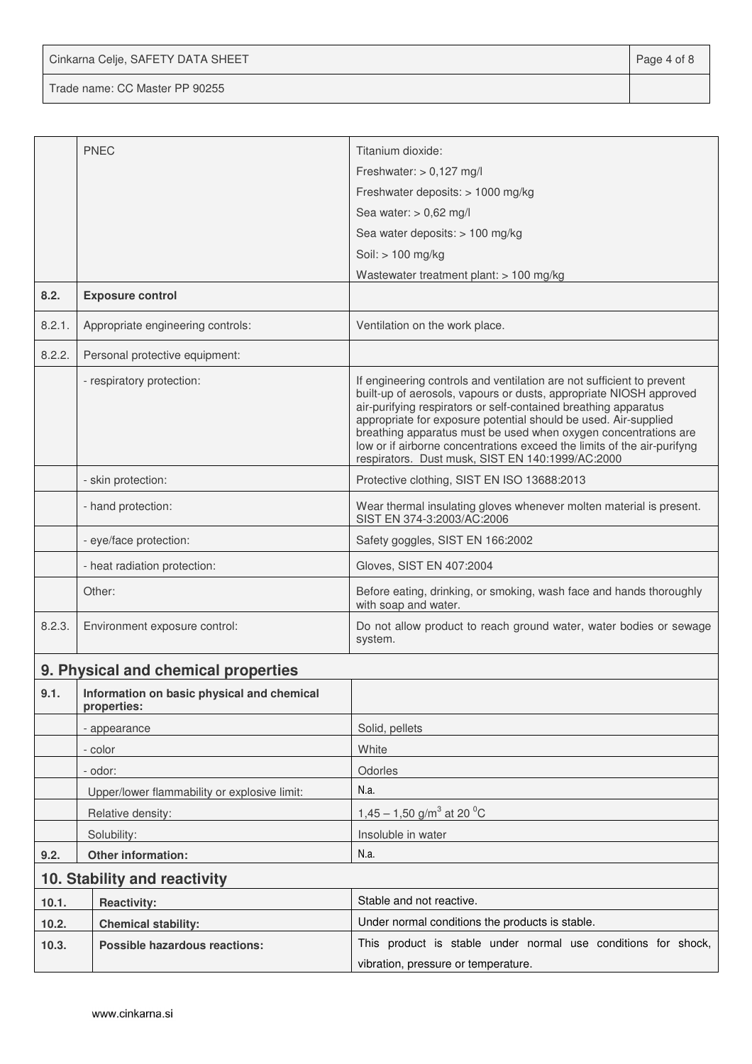Cinkarna Celje, SAFETY DATA SHEET **Page 4 of 8** 

Trade name: CC Master PP 90255

|        | <b>PNEC</b>                                               | Titanium dioxide:                                                                                                                                                                                                                                                                                                                                                                                                                                                                   |  |
|--------|-----------------------------------------------------------|-------------------------------------------------------------------------------------------------------------------------------------------------------------------------------------------------------------------------------------------------------------------------------------------------------------------------------------------------------------------------------------------------------------------------------------------------------------------------------------|--|
|        |                                                           | Freshwater: $> 0,127$ mg/l                                                                                                                                                                                                                                                                                                                                                                                                                                                          |  |
|        |                                                           | Freshwater deposits: > 1000 mg/kg                                                                                                                                                                                                                                                                                                                                                                                                                                                   |  |
|        |                                                           | Sea water: $> 0.62$ mg/l                                                                                                                                                                                                                                                                                                                                                                                                                                                            |  |
|        |                                                           | Sea water deposits: > 100 mg/kg                                                                                                                                                                                                                                                                                                                                                                                                                                                     |  |
|        |                                                           | Soil: > 100 mg/kg                                                                                                                                                                                                                                                                                                                                                                                                                                                                   |  |
|        |                                                           | Wastewater treatment plant: $> 100$ mg/kg                                                                                                                                                                                                                                                                                                                                                                                                                                           |  |
| 8.2.   | <b>Exposure control</b>                                   |                                                                                                                                                                                                                                                                                                                                                                                                                                                                                     |  |
| 8.2.1. | Appropriate engineering controls:                         | Ventilation on the work place.                                                                                                                                                                                                                                                                                                                                                                                                                                                      |  |
| 8.2.2. | Personal protective equipment:                            |                                                                                                                                                                                                                                                                                                                                                                                                                                                                                     |  |
|        | - respiratory protection:                                 | If engineering controls and ventilation are not sufficient to prevent<br>built-up of aerosols, vapours or dusts, appropriate NIOSH approved<br>air-purifying respirators or self-contained breathing apparatus<br>appropriate for exposure potential should be used. Air-supplied<br>breathing apparatus must be used when oxygen concentrations are<br>low or if airborne concentrations exceed the limits of the air-purifyng<br>respirators. Dust musk, SIST EN 140:1999/AC:2000 |  |
|        | - skin protection:                                        | Protective clothing, SIST EN ISO 13688:2013                                                                                                                                                                                                                                                                                                                                                                                                                                         |  |
|        | - hand protection:                                        | Wear thermal insulating gloves whenever molten material is present.<br>SIST EN 374-3:2003/AC:2006                                                                                                                                                                                                                                                                                                                                                                                   |  |
|        | - eye/face protection:                                    | Safety goggles, SIST EN 166:2002                                                                                                                                                                                                                                                                                                                                                                                                                                                    |  |
|        | - heat radiation protection:                              | Gloves, SIST EN 407:2004                                                                                                                                                                                                                                                                                                                                                                                                                                                            |  |
|        | Other:                                                    | Before eating, drinking, or smoking, wash face and hands thoroughly<br>with soap and water.                                                                                                                                                                                                                                                                                                                                                                                         |  |
| 8.2.3. | Environment exposure control:                             | Do not allow product to reach ground water, water bodies or sewage<br>system.                                                                                                                                                                                                                                                                                                                                                                                                       |  |
|        | 9. Physical and chemical properties                       |                                                                                                                                                                                                                                                                                                                                                                                                                                                                                     |  |
| 9.1.   | Information on basic physical and chemical<br>properties: |                                                                                                                                                                                                                                                                                                                                                                                                                                                                                     |  |
|        | - appearance                                              | Solid, pellets                                                                                                                                                                                                                                                                                                                                                                                                                                                                      |  |
|        | - color                                                   | White                                                                                                                                                                                                                                                                                                                                                                                                                                                                               |  |
|        | - odor:                                                   | Odorles                                                                                                                                                                                                                                                                                                                                                                                                                                                                             |  |
|        | Upper/lower flammability or explosive limit:              | N.a.                                                                                                                                                                                                                                                                                                                                                                                                                                                                                |  |
|        | Relative density:                                         | 1,45 – 1,50 g/m <sup>3</sup> at 20 <sup>o</sup> C                                                                                                                                                                                                                                                                                                                                                                                                                                   |  |
|        | Solubility:                                               | Insoluble in water                                                                                                                                                                                                                                                                                                                                                                                                                                                                  |  |
| 9.2.   | Other information:                                        | N.a.                                                                                                                                                                                                                                                                                                                                                                                                                                                                                |  |
|        | 10. Stability and reactivity                              |                                                                                                                                                                                                                                                                                                                                                                                                                                                                                     |  |
| 10.1.  | <b>Reactivity:</b>                                        | Stable and not reactive.                                                                                                                                                                                                                                                                                                                                                                                                                                                            |  |
| 10.2.  | <b>Chemical stability:</b>                                | Under normal conditions the products is stable.                                                                                                                                                                                                                                                                                                                                                                                                                                     |  |
| 10.3.  | <b>Possible hazardous reactions:</b>                      | This product is stable under normal use conditions for shock,                                                                                                                                                                                                                                                                                                                                                                                                                       |  |
|        |                                                           | vibration, pressure or temperature.                                                                                                                                                                                                                                                                                                                                                                                                                                                 |  |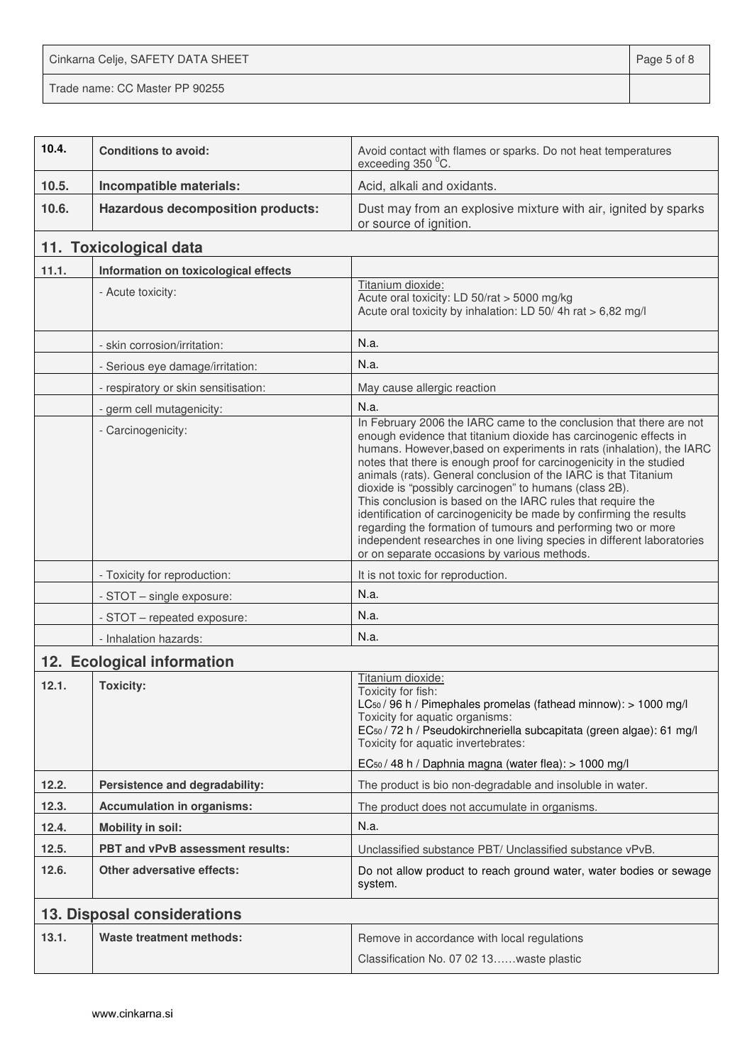Cinkarna Celje, SAFETY DATA SHEET **Page 5 of 8** 

Trade name: CC Master PP 90255

| 10.4. | <b>Conditions to avoid:</b>              | Avoid contact with flames or sparks. Do not heat temperatures<br>exceeding 350 °C.                                                                                                                                                                                                                                                                                                                                                                                                                                                                                                                                                                                                                                                                    |
|-------|------------------------------------------|-------------------------------------------------------------------------------------------------------------------------------------------------------------------------------------------------------------------------------------------------------------------------------------------------------------------------------------------------------------------------------------------------------------------------------------------------------------------------------------------------------------------------------------------------------------------------------------------------------------------------------------------------------------------------------------------------------------------------------------------------------|
| 10.5. | Incompatible materials:                  | Acid, alkali and oxidants.                                                                                                                                                                                                                                                                                                                                                                                                                                                                                                                                                                                                                                                                                                                            |
| 10.6. | <b>Hazardous decomposition products:</b> | Dust may from an explosive mixture with air, ignited by sparks<br>or source of ignition.                                                                                                                                                                                                                                                                                                                                                                                                                                                                                                                                                                                                                                                              |
|       | 11. Toxicological data                   |                                                                                                                                                                                                                                                                                                                                                                                                                                                                                                                                                                                                                                                                                                                                                       |
| 11.1. | Information on toxicological effects     |                                                                                                                                                                                                                                                                                                                                                                                                                                                                                                                                                                                                                                                                                                                                                       |
|       | - Acute toxicity:                        | Titanium dioxide:<br>Acute oral toxicity: LD 50/rat > 5000 mg/kg<br>Acute oral toxicity by inhalation: LD 50/4h rat > 6,82 mg/l                                                                                                                                                                                                                                                                                                                                                                                                                                                                                                                                                                                                                       |
|       | - skin corrosion/irritation:             | N.a.                                                                                                                                                                                                                                                                                                                                                                                                                                                                                                                                                                                                                                                                                                                                                  |
|       | - Serious eye damage/irritation:         | N.a.                                                                                                                                                                                                                                                                                                                                                                                                                                                                                                                                                                                                                                                                                                                                                  |
|       | - respiratory or skin sensitisation:     | May cause allergic reaction                                                                                                                                                                                                                                                                                                                                                                                                                                                                                                                                                                                                                                                                                                                           |
|       | - germ cell mutagenicity:                | N.a.                                                                                                                                                                                                                                                                                                                                                                                                                                                                                                                                                                                                                                                                                                                                                  |
|       | - Carcinogenicity:                       | In February 2006 the IARC came to the conclusion that there are not<br>enough evidence that titanium dioxide has carcinogenic effects in<br>humans. However, based on experiments in rats (inhalation), the IARC<br>notes that there is enough proof for carcinogenicity in the studied<br>animals (rats). General conclusion of the IARC is that Titanium<br>dioxide is "possibly carcinogen" to humans (class 2B).<br>This conclusion is based on the IARC rules that require the<br>identification of carcinogenicity be made by confirming the results<br>regarding the formation of tumours and performing two or more<br>independent researches in one living species in different laboratories<br>or on separate occasions by various methods. |
|       | - Toxicity for reproduction:             | It is not toxic for reproduction.                                                                                                                                                                                                                                                                                                                                                                                                                                                                                                                                                                                                                                                                                                                     |
|       | - STOT - single exposure:                | N.a.                                                                                                                                                                                                                                                                                                                                                                                                                                                                                                                                                                                                                                                                                                                                                  |
|       | - STOT - repeated exposure:              | N.a.                                                                                                                                                                                                                                                                                                                                                                                                                                                                                                                                                                                                                                                                                                                                                  |
|       | - Inhalation hazards:                    | N.a.                                                                                                                                                                                                                                                                                                                                                                                                                                                                                                                                                                                                                                                                                                                                                  |
|       | 12. Ecological information               |                                                                                                                                                                                                                                                                                                                                                                                                                                                                                                                                                                                                                                                                                                                                                       |
| 12.1. | <b>Toxicity:</b>                         | Titanium dioxide:<br>Toxicity for fish:<br>LC <sub>50</sub> / 96 h / Pimephales promelas (fathead minnow): > 1000 mg/l<br>Toxicity for aquatic organisms:<br>EC <sub>50</sub> / 72 h / Pseudokirchneriella subcapitata (green algae): 61 mg/l<br>Toxicity for aquatic invertebrates:<br>EC <sub>50</sub> / 48 h / Daphnia magna (water flea): > 1000 mg/l                                                                                                                                                                                                                                                                                                                                                                                             |
| 12.2. | Persistence and degradability:           | The product is bio non-degradable and insoluble in water.                                                                                                                                                                                                                                                                                                                                                                                                                                                                                                                                                                                                                                                                                             |
| 12.3. | <b>Accumulation in organisms:</b>        | The product does not accumulate in organisms.                                                                                                                                                                                                                                                                                                                                                                                                                                                                                                                                                                                                                                                                                                         |
| 12.4. | <b>Mobility in soil:</b>                 | N.a.                                                                                                                                                                                                                                                                                                                                                                                                                                                                                                                                                                                                                                                                                                                                                  |
| 12.5. | PBT and vPvB assessment results:         | Unclassified substance PBT/ Unclassified substance vPvB.                                                                                                                                                                                                                                                                                                                                                                                                                                                                                                                                                                                                                                                                                              |
| 12.6. | <b>Other adversative effects:</b>        | Do not allow product to reach ground water, water bodies or sewage<br>system.                                                                                                                                                                                                                                                                                                                                                                                                                                                                                                                                                                                                                                                                         |
|       | 13. Disposal considerations              |                                                                                                                                                                                                                                                                                                                                                                                                                                                                                                                                                                                                                                                                                                                                                       |
| 13.1. | <b>Waste treatment methods:</b>          | Remove in accordance with local regulations<br>Classification No. 07 02 13waste plastic                                                                                                                                                                                                                                                                                                                                                                                                                                                                                                                                                                                                                                                               |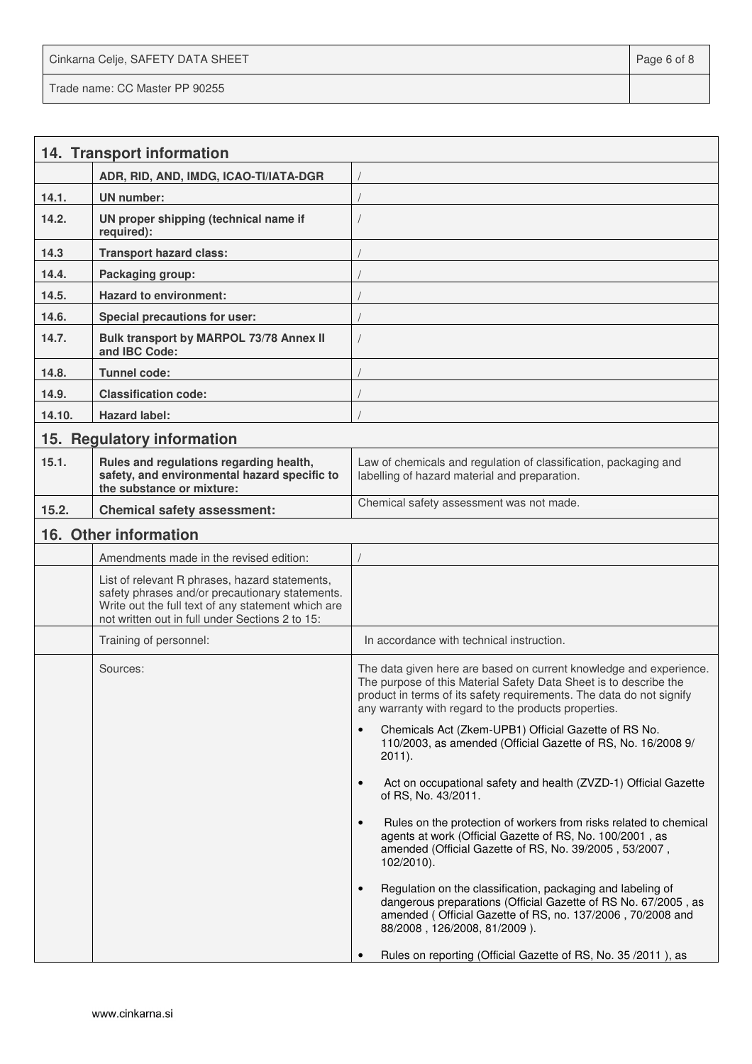Cinkarna Celje, SAFETY DATA SHEET **Page 6 of 8** and 2011 12 and 2012 12 and 2012 12 and 2012 12 and 2012 12 and 2012

Trade name: CC Master PP 90255

**14. Transport information ADR, RID, AND, IMDG, ICAO-TI/IATA-DGR** / **14.1. UN number:** / **14.2. UN proper shipping (technical name if required):**  / **14.3 Transport hazard class:** / **14.4. Packaging group:** / 14.5. **Hazard to environment:** 14.6. **Special precautions for user: 14.7. Bulk transport by MARPOL 73/78 Annex II and IBC Code:**  / **14.8. Tunnel code:** / 14.9. Classification code: **14.10. Hazard label:** / **15. Regulatory information 15.1. Rules and regulations regarding health, safety, and environmental hazard specific to the substance or mixture:**  Law of chemicals and regulation of classification, packaging and labelling of hazard material and preparation. **15.2.** Chemical safety assessment: Chemical safety assessment was not made. **16. Other information**  Amendments made in the revised edition: List of relevant R phrases, hazard statements, safety phrases and/or precautionary statements. Write out the full text of any statement which are not written out in full under Sections 2 to 15: Training of personnel: **In accordance with technical instruction.** Sources: The data given here are based on current knowledge and experience. The purpose of this Material Safety Data Sheet is to describe the product in terms of its safety requirements. The data do not signify any warranty with regard to the products properties. • Chemicals Act (Zkem-UPB1) Official Gazette of RS No. 110/2003, as amended (Official Gazette of RS, No. 16/2008 9/ 2011). • Act on occupational safety and health (ZVZD-1) Official Gazette of RS, No. 43/2011. • Rules on the protection of workers from risks related to chemical agents at work (Official Gazette of RS, No. 100/2001 , as amended (Official Gazette of RS, No. 39/2005 , 53/2007 , 102/2010). • Regulation on the classification, packaging and labeling of dangerous preparations (Official Gazette of RS No. 67/2005 , as amended ( Official Gazette of RS, no. 137/2006 , 70/2008 and 88/2008 , 126/2008, 81/2009 ). • Rules on reporting (Official Gazette of RS, No. 35 /2011 ), as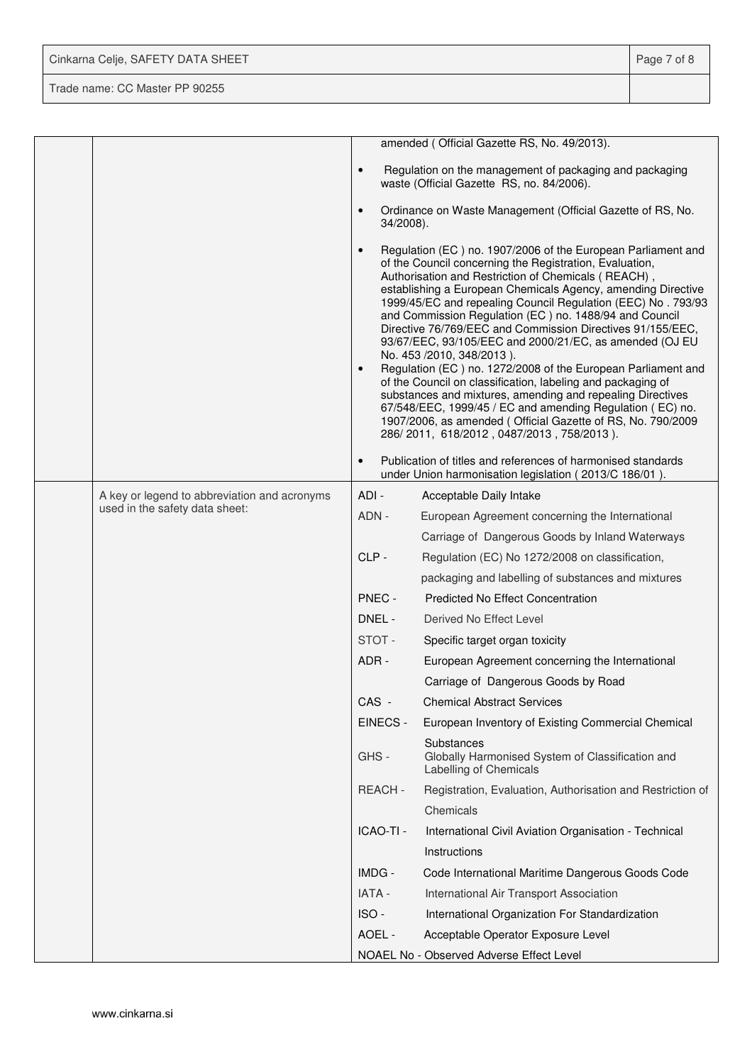| Cinkarna Celje, SAFETY DATA SHEET | Page 7 of 8 |
|-----------------------------------|-------------|
| Trade name: CC Master PP 90255    |             |

|  |                                              |                        | amended (Official Gazette RS, No. 49/2013).                                                                                                                                                                                                                                                                                                                                                                                                                                                                                                                                                                                                                                                                                                                                                                                                                                                          |
|--|----------------------------------------------|------------------------|------------------------------------------------------------------------------------------------------------------------------------------------------------------------------------------------------------------------------------------------------------------------------------------------------------------------------------------------------------------------------------------------------------------------------------------------------------------------------------------------------------------------------------------------------------------------------------------------------------------------------------------------------------------------------------------------------------------------------------------------------------------------------------------------------------------------------------------------------------------------------------------------------|
|  |                                              | $\bullet$              | Regulation on the management of packaging and packaging<br>waste (Official Gazette RS, no. 84/2006).                                                                                                                                                                                                                                                                                                                                                                                                                                                                                                                                                                                                                                                                                                                                                                                                 |
|  |                                              | $\bullet$<br>34/2008). | Ordinance on Waste Management (Official Gazette of RS, No.                                                                                                                                                                                                                                                                                                                                                                                                                                                                                                                                                                                                                                                                                                                                                                                                                                           |
|  |                                              | $\bullet$<br>$\bullet$ | Regulation (EC) no. 1907/2006 of the European Parliament and<br>of the Council concerning the Registration, Evaluation,<br>Authorisation and Restriction of Chemicals (REACH),<br>establishing a European Chemicals Agency, amending Directive<br>1999/45/EC and repealing Council Regulation (EEC) No. 793/93<br>and Commission Regulation (EC) no. 1488/94 and Council<br>Directive 76/769/EEC and Commission Directives 91/155/EEC,<br>93/67/EEC, 93/105/EEC and 2000/21/EC, as amended (OJ EU<br>No. 453 /2010, 348/2013).<br>Regulation (EC) no. 1272/2008 of the European Parliament and<br>of the Council on classification, labeling and packaging of<br>substances and mixtures, amending and repealing Directives<br>67/548/EEC, 1999/45 / EC and amending Regulation (EC) no.<br>1907/2006, as amended (Official Gazette of RS, No. 790/2009<br>286/2011, 618/2012, 0487/2013, 758/2013). |
|  |                                              | $\bullet$              | Publication of titles and references of harmonised standards<br>under Union harmonisation legislation (2013/C 186/01).                                                                                                                                                                                                                                                                                                                                                                                                                                                                                                                                                                                                                                                                                                                                                                               |
|  | A key or legend to abbreviation and acronyms | ADI-                   | Acceptable Daily Intake                                                                                                                                                                                                                                                                                                                                                                                                                                                                                                                                                                                                                                                                                                                                                                                                                                                                              |
|  | used in the safety data sheet:               | ADN -                  | European Agreement concerning the International                                                                                                                                                                                                                                                                                                                                                                                                                                                                                                                                                                                                                                                                                                                                                                                                                                                      |
|  |                                              |                        | Carriage of Dangerous Goods by Inland Waterways                                                                                                                                                                                                                                                                                                                                                                                                                                                                                                                                                                                                                                                                                                                                                                                                                                                      |
|  |                                              | CLP-                   | Regulation (EC) No 1272/2008 on classification,                                                                                                                                                                                                                                                                                                                                                                                                                                                                                                                                                                                                                                                                                                                                                                                                                                                      |
|  |                                              |                        | packaging and labelling of substances and mixtures                                                                                                                                                                                                                                                                                                                                                                                                                                                                                                                                                                                                                                                                                                                                                                                                                                                   |
|  |                                              | PNEC -                 | <b>Predicted No Effect Concentration</b>                                                                                                                                                                                                                                                                                                                                                                                                                                                                                                                                                                                                                                                                                                                                                                                                                                                             |
|  |                                              | DNEL -                 | Derived No Effect Level                                                                                                                                                                                                                                                                                                                                                                                                                                                                                                                                                                                                                                                                                                                                                                                                                                                                              |
|  |                                              | STOT-                  | Specific target organ toxicity                                                                                                                                                                                                                                                                                                                                                                                                                                                                                                                                                                                                                                                                                                                                                                                                                                                                       |
|  |                                              | ADR-                   | European Agreement concerning the International                                                                                                                                                                                                                                                                                                                                                                                                                                                                                                                                                                                                                                                                                                                                                                                                                                                      |
|  |                                              |                        | Carriage of Dangerous Goods by Road                                                                                                                                                                                                                                                                                                                                                                                                                                                                                                                                                                                                                                                                                                                                                                                                                                                                  |
|  |                                              | CAS -                  | <b>Chemical Abstract Services</b>                                                                                                                                                                                                                                                                                                                                                                                                                                                                                                                                                                                                                                                                                                                                                                                                                                                                    |
|  |                                              | EINECS -               | European Inventory of Existing Commercial Chemical                                                                                                                                                                                                                                                                                                                                                                                                                                                                                                                                                                                                                                                                                                                                                                                                                                                   |
|  |                                              | GHS-                   | Substances<br>Globally Harmonised System of Classification and<br>Labelling of Chemicals                                                                                                                                                                                                                                                                                                                                                                                                                                                                                                                                                                                                                                                                                                                                                                                                             |
|  |                                              | REACH-                 | Registration, Evaluation, Authorisation and Restriction of                                                                                                                                                                                                                                                                                                                                                                                                                                                                                                                                                                                                                                                                                                                                                                                                                                           |
|  |                                              |                        | Chemicals                                                                                                                                                                                                                                                                                                                                                                                                                                                                                                                                                                                                                                                                                                                                                                                                                                                                                            |
|  |                                              | ICAO-TI -              | International Civil Aviation Organisation - Technical                                                                                                                                                                                                                                                                                                                                                                                                                                                                                                                                                                                                                                                                                                                                                                                                                                                |
|  |                                              |                        | Instructions                                                                                                                                                                                                                                                                                                                                                                                                                                                                                                                                                                                                                                                                                                                                                                                                                                                                                         |
|  |                                              | IMDG -                 | Code International Maritime Dangerous Goods Code                                                                                                                                                                                                                                                                                                                                                                                                                                                                                                                                                                                                                                                                                                                                                                                                                                                     |
|  |                                              | IATA -                 | International Air Transport Association                                                                                                                                                                                                                                                                                                                                                                                                                                                                                                                                                                                                                                                                                                                                                                                                                                                              |
|  |                                              | ISO-                   | International Organization For Standardization                                                                                                                                                                                                                                                                                                                                                                                                                                                                                                                                                                                                                                                                                                                                                                                                                                                       |
|  |                                              | AOEL -                 | Acceptable Operator Exposure Level                                                                                                                                                                                                                                                                                                                                                                                                                                                                                                                                                                                                                                                                                                                                                                                                                                                                   |
|  |                                              |                        | NOAEL No - Observed Adverse Effect Level                                                                                                                                                                                                                                                                                                                                                                                                                                                                                                                                                                                                                                                                                                                                                                                                                                                             |